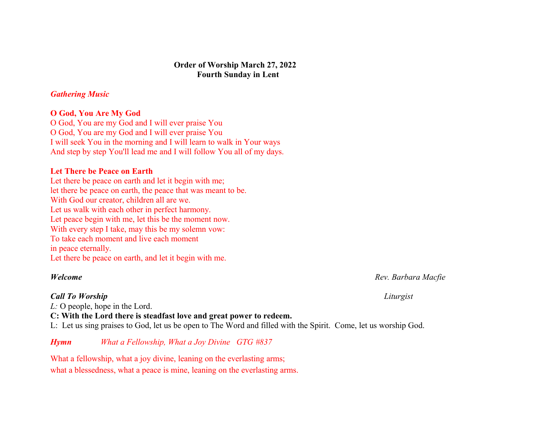## **Order of Worship March 27, 2022 Fourth Sunday in Lent**

# *Gathering Music*

# **O God, You Are My God**

O God, You are my God and I will ever praise You O God, You are my God and I will ever praise You I will seek You in the morning and I will learn to walk in Your ways And step by step You'll lead me and I will follow You all of my days.

# **Let There be Peace on Earth**

Let there be peace on earth and let it begin with me; let there be peace on earth, the peace that was meant to be. With God our creator, children all are we. Let us walk with each other in perfect harmony. Let peace begin with me, let this be the moment now. With every step I take, may this be my solemn vow: To take each moment and live each moment in peace eternally. Let there be peace on earth, and let it begin with me.

*Call To Worship Liturgist L:* O people, hope in the Lord.

**C: With the Lord there is steadfast love and great power to redeem.**

L: Let us sing praises to God, let us be open to The Word and filled with the Spirit. Come, let us worship God.

# *Hymn What a Fellowship, What a Joy Divine GTG #837*

What a fellowship, what a joy divine, leaning on the everlasting arms; what a blessedness, what a peace is mine, leaning on the everlasting arms.

*Welcome Rev. Barbara Macfie*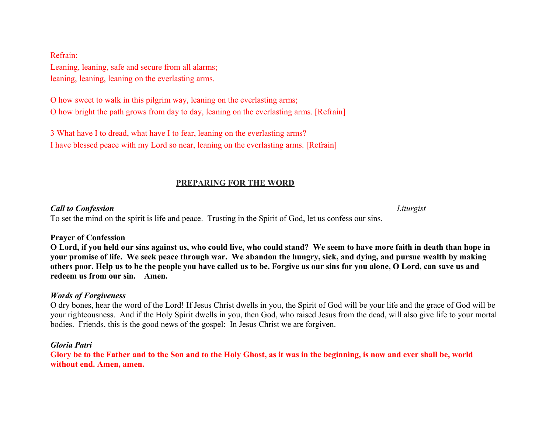Refrain:

Leaning, leaning, safe and secure from all alarms; leaning, leaning, leaning on the everlasting arms.

O how sweet to walk in this pilgrim way, leaning on the everlasting arms; O how bright the path grows from day to day, leaning on the everlasting arms. [Refrain]

3 What have I to dread, what have I to fear, leaning on the everlasting arms? I have blessed peace with my Lord so near, leaning on the everlasting arms. [Refrain]

# **PREPARING FOR THE WORD**

*Call to Confession Liturgist*

To set the mind on the spirit is life and peace. Trusting in the Spirit of God, let us confess our sins.

## **Prayer of Confession**

**O Lord, if you held our sins against us, who could live, who could stand? We seem to have more faith in death than hope in your promise of life. We seek peace through war. We abandon the hungry, sick, and dying, and pursue wealth by making others poor. Help us to be the people you have called us to be. Forgive us our sins for you alone, O Lord, can save us and redeem us from our sin. Amen.**

# *Words of Forgiveness*

O dry bones, hear the word of the Lord! If Jesus Christ dwells in you, the Spirit of God will be your life and the grace of God will be your righteousness. And if the Holy Spirit dwells in you, then God, who raised Jesus from the dead, will also give life to your mortal bodies. Friends, this is the good news of the gospel: In Jesus Christ we are forgiven.

# *Gloria Patri*

**Glory be to the Father and to the Son and to the Holy Ghost, as it was in the beginning, is now and ever shall be, world without end. Amen, amen.**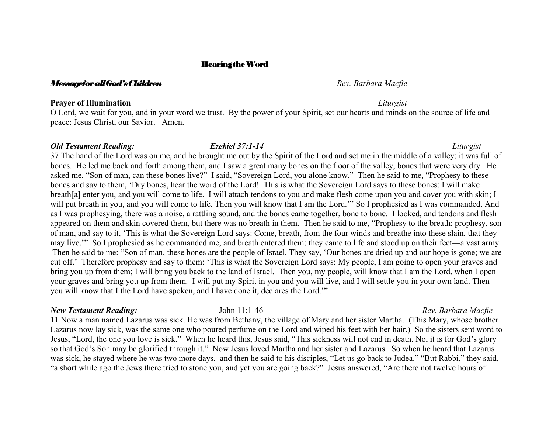### **Hearing the Word**

### *Message for all God's Children Rev. Barbara Macfie*

### **Prayer of Illumination** *Liturgist*

O Lord, we wait for you, and in your word we trust. By the power of your Spirit, set our hearts and minds on the source of life and peace: Jesus Christ, our Savior. Amen.

### *Old Testament Reading: Ezekiel 37:1-14 Liturgist*

37 The hand of the Lord was on me, and he brought me out by the Spirit of the Lord and set me in the middle of a valley; it was full of bones. He led me back and forth among them, and I saw a great many bones on the floor of the valley, bones that were very dry. He asked me, "Son of man, can these bones live?" I said, "Sovereign Lord, you alone know." Then he said to me, "Prophesy to these bones and say to them, 'Dry bones, hear the word of the Lord! This is what the Sovereign Lord says to these bones: I will make breath[a] enter you, and you will come to life. I will attach tendons to you and make flesh come upon you and cover you with skin; I will put breath in you, and you will come to life. Then you will know that I am the Lord." So I prophesied as I was commanded. And as I was prophesying, there was a noise, a rattling sound, and the bones came together, bone to bone. I looked, and tendons and flesh appeared on them and skin covered them, but there was no breath in them. Then he said to me, "Prophesy to the breath; prophesy, son of man, and say to it, 'This is what the Sovereign Lord says: Come, breath, from the four winds and breathe into these slain, that they may live.'" So I prophesied as he commanded me, and breath entered them; they came to life and stood up on their feet—a vast army. Then he said to me: "Son of man, these bones are the people of Israel. They say, 'Our bones are dried up and our hope is gone; we are cut off.' Therefore prophesy and say to them: 'This is what the Sovereign Lord says: My people, I am going to open your graves and bring you up from them; I will bring you back to the land of Israel. Then you, my people, will know that I am the Lord, when I open your graves and bring you up from them. I will put my Spirit in you and you will live, and I will settle you in your own land. Then you will know that I the Lord have spoken, and I have done it, declares the Lord.'"

### *New Testament Reading:* John 11:1-46 *Rev. Barbara Macfie*

11 Now a man named Lazarus was sick. He was from Bethany, the village of Mary and her sister Martha. (This Mary, whose brother Lazarus now lay sick, was the same one who poured perfume on the Lord and wiped his feet with her hair.) So the sisters sent word to Jesus, "Lord, the one you love is sick." When he heard this, Jesus said, "This sickness will not end in death. No, it is for God's glory so that God's Son may be glorified through it." Now Jesus loved Martha and her sister and Lazarus. So when he heard that Lazarus was sick, he stayed where he was two more days, and then he said to his disciples, "Let us go back to Judea." "But Rabbi," they said, "a short while ago the Jews there tried to stone you, and yet you are going back?" Jesus answered, "Are there not twelve hours of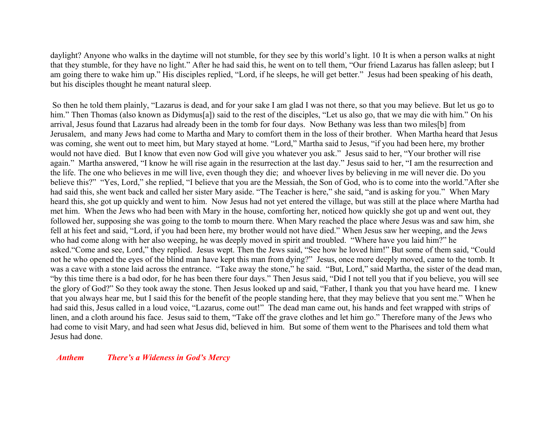daylight? Anyone who walks in the daytime will not stumble, for they see by this world's light. 10 It is when a person walks at night that they stumble, for they have no light." After he had said this, he went on to tell them, "Our friend Lazarus has fallen asleep; but I am going there to wake him up." His disciples replied, "Lord, if he sleeps, he will get better." Jesus had been speaking of his death, but his disciples thought he meant natural sleep.

So then he told them plainly, "Lazarus is dead, and for your sake I am glad I was not there, so that you may believe. But let us go to him." Then Thomas (also known as Didymus[a]) said to the rest of the disciples, "Let us also go, that we may die with him." On his arrival, Jesus found that Lazarus had already been in the tomb for four days. Now Bethany was less than two miles[b] from Jerusalem, and many Jews had come to Martha and Mary to comfort them in the loss of their brother. When Martha heard that Jesus was coming, she went out to meet him, but Mary stayed at home. "Lord," Martha said to Jesus, "if you had been here, my brother would not have died. But I know that even now God will give you whatever you ask." Jesus said to her, "Your brother will rise again." Martha answered, "I know he will rise again in the resurrection at the last day." Jesus said to her, "I am the resurrection and the life. The one who believes in me will live, even though they die; and whoever lives by believing in me will never die. Do you believe this?" "Yes, Lord," she replied, "I believe that you are the Messiah, the Son of God, who is to come into the world."After she had said this, she went back and called her sister Mary aside. "The Teacher is here," she said, "and is asking for you." When Mary heard this, she got up quickly and went to him. Now Jesus had not yet entered the village, but was still at the place where Martha had met him. When the Jews who had been with Mary in the house, comforting her, noticed how quickly she got up and went out, they followed her, supposing she was going to the tomb to mourn there. When Mary reached the place where Jesus was and saw him, she fell at his feet and said, "Lord, if you had been here, my brother would not have died." When Jesus saw her weeping, and the Jews who had come along with her also weeping, he was deeply moved in spirit and troubled. "Where have you laid him?" he asked."Come and see, Lord," they replied. Jesus wept. Then the Jews said, "See how he loved him!" But some of them said, "Could not he who opened the eyes of the blind man have kept this man from dying?" Jesus, once more deeply moved, came to the tomb. It was a cave with a stone laid across the entrance. "Take away the stone," he said. "But, Lord," said Martha, the sister of the dead man, "by this time there is a bad odor, for he has been there four days." Then Jesus said, "Did I not tell you that if you believe, you will see the glory of God?" So they took away the stone. Then Jesus looked up and said, "Father, I thank you that you have heard me. I knew that you always hear me, but I said this for the benefit of the people standing here, that they may believe that you sent me." When he had said this, Jesus called in a loud voice, "Lazarus, come out!" The dead man came out, his hands and feet wrapped with strips of linen, and a cloth around his face. Jesus said to them, "Take off the grave clothes and let him go." Therefore many of the Jews who had come to visit Mary, and had seen what Jesus did, believed in him. But some of them went to the Pharisees and told them what Jesus had done.

### *Anthem There's a Wideness in God's Mercy*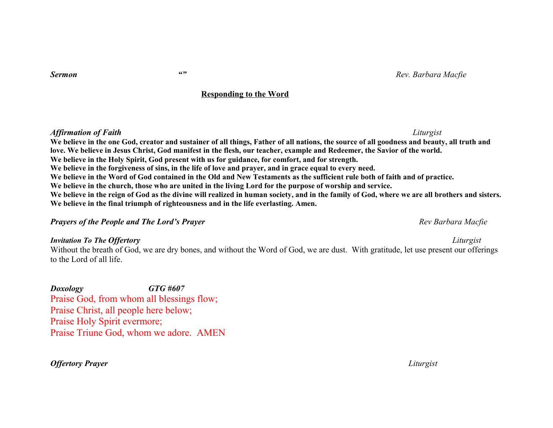*Sermon "" Rev. Barbara Macfie*

## **Responding to the Word**

*Affirmation of Faith Liturgist* 

**We believe in the one God, creator and sustainer of all things, Father of all nations, the source of all goodness and beauty, all truth and love. We believe in Jesus Christ, God manifest in the flesh, our teacher, example and Redeemer, the Savior of the world. We believe in the Holy Spirit, God present with us for guidance, for comfort, and for strength. We believe in the forgiveness of sins, in the life of love and prayer, and in grace equal to every need. We believe in the Word of God contained in the Old and New Testaments as the sufficient rule both of faith and of practice. We believe in the church, those who are united in the living Lord for the purpose of worship and service. We believe in the reign of God as the divine will realized in human society, and in the family of God, where we are all brothers and sisters. We believe in the final triumph of righteousness and in the life everlasting. Amen.**

*Prayers of the People and The Lord's Prayer Rev Barbara Macfie*

## *Invitation To The Offertory Liturgist*

Without the breath of God, we are dry bones, and without the Word of God, we are dust. With gratitude, let use present our offerings to the Lord of all life.

*Doxology GTG #607*  Praise God, from whom all blessings flow; Praise Christ, all people here below; Praise Holy Spirit evermore; Praise Triune God, whom we adore. AMEN

*Offertory Prayer Liturgist*